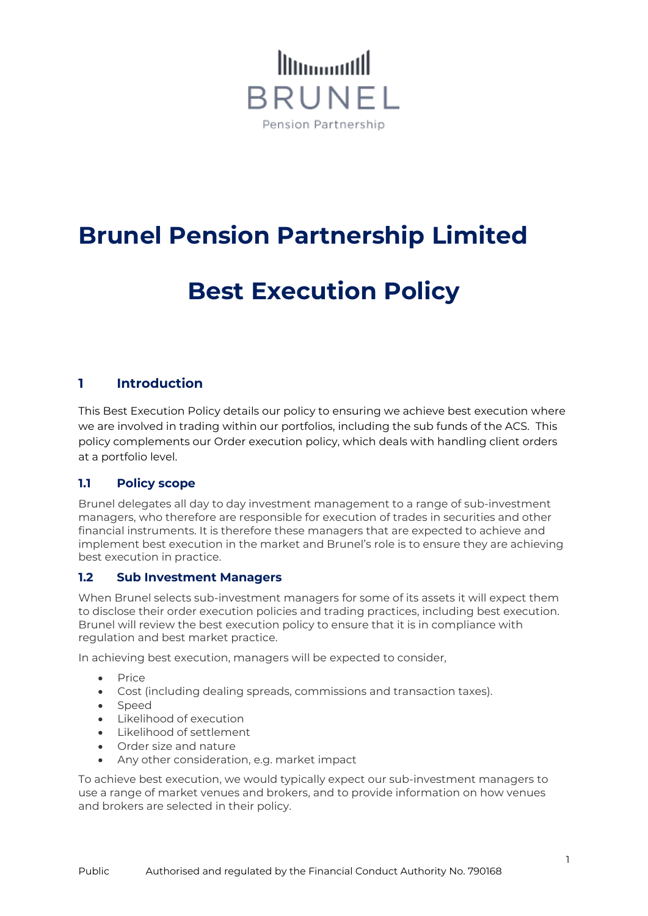

## **Brunel Pension Partnership Limited**

# **Best Execution Policy**

### **1 Introduction**

This Best Execution Policy details our policy to ensuring we achieve best execution where we are involved in trading within our portfolios, including the sub funds of the ACS. This policy complements our Order execution policy, which deals with handling client orders at a portfolio level.

### **1.1 Policy scope**

Brunel delegates all day to day investment management to a range of sub-investment managers, who therefore are responsible for execution of trades in securities and other financial instruments. It is therefore these managers that are expected to achieve and implement best execution in the market and Brunel's role is to ensure they are achieving best execution in practice.

#### **1.2 Sub Investment Managers**

When Brunel selects sub-investment managers for some of its assets it will expect them to disclose their order execution policies and trading practices, including best execution. Brunel will review the best execution policy to ensure that it is in compliance with regulation and best market practice.

In achieving best execution, managers will be expected to consider,

- Price
- Cost (including dealing spreads, commissions and transaction taxes).
- Speed
- Likelihood of execution
- Likelihood of settlement
- Order size and nature
- Any other consideration, e.g. market impact

To achieve best execution, we would typically expect our sub-investment managers to use a range of market venues and brokers, and to provide information on how venues and brokers are selected in their policy.